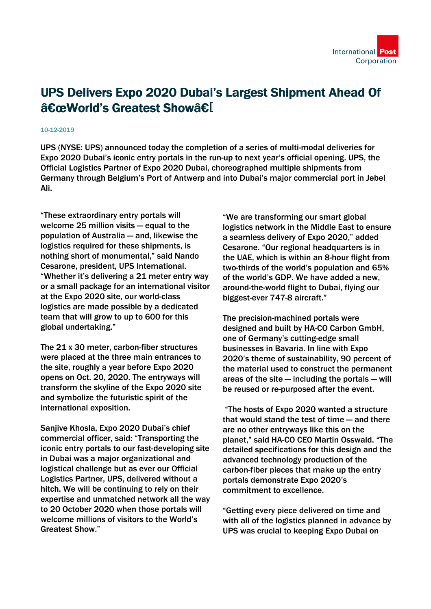## UPS Delivers Expo 2020 Dubai's Largest Shipment Ahead Of "World's Greatest Showâ€[

## 10-12-2019

UPS (NYSE: UPS) announced today the completion of a series of multi-modal deliveries for Expo 2020 Dubai's iconic entry portals in the run-up to next year's official opening. UPS, the Official Logistics Partner of Expo 2020 Dubai, choreographed multiple shipments from Germany through Belgium's Port of Antwerp and into Dubai's major commercial port in Jebel Ali.

"These extraordinary entry portals will welcome 25 million visits – equal to the population of Australia — and, likewise the logistics required for these shipments, is nothing short of monumental," said Nando Cesarone, president, UPS International. "Whether it's delivering a 21 meter entry way or a small package for an international visitor at the Expo 2020 site, our world-class logistics are made possible by a dedicated team that will grow to up to 600 for this global undertaking."

The 21 x 30 meter, carbon-fiber structures were placed at the three main entrances to the site, roughly a year before Expo 2020 opens on Oct. 20, 2020. The entryways will transform the skyline of the Expo 2020 site and symbolize the futuristic spirit of the international exposition.

Sanjive Khosla, Expo 2020 Dubai's chief commercial officer, said: "Transporting the iconic entry portals to our fast-developing site in Dubai was a major organizational and logistical challenge but as ever our Official Logistics Partner, UPS, delivered without a hitch. We will be continuing to rely on their expertise and unmatched network all the way to 20 October 2020 when those portals will welcome millions of visitors to the World's Greatest Show."

"We are transforming our smart global logistics network in the Middle East to ensure a seamless delivery of Expo 2020," added Cesarone. "Our regional headquarters is in the UAE, which is within an 8-hour flight from two-thirds of the world's population and 65% of the world's GDP. We have added a new, around-the-world flight to Dubai, flying our biggest-ever 747-8 aircraft."

The precision-machined portals were designed and built by HA-CO Carbon GmbH, one of Germany's cutting-edge small businesses in Bavaria. In line with Expo 2020's theme of sustainability, 90 percent of the material used to construct the permanent areas of the site — including the portals — will be reused or re-purposed after the event.

 "The hosts of Expo 2020 wanted a structure that would stand the test of time — and there are no other entryways like this on the planet," said HA-CO CEO Martin Osswald. "The detailed specifications for this design and the advanced technology production of the carbon-fiber pieces that make up the entry portals demonstrate Expo 2020's commitment to excellence.

"Getting every piece delivered on time and with all of the logistics planned in advance by UPS was crucial to keeping Expo Dubai on